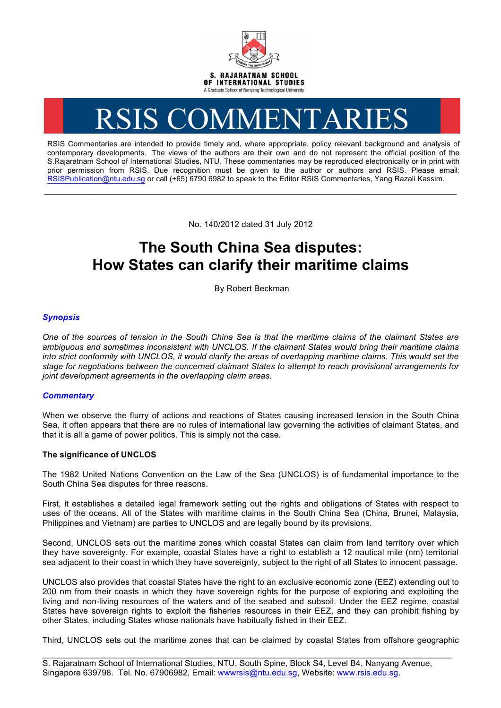

# RSIS COMMENTARIES

RSIS Commentaries are intended to provide timely and, where appropriate, policy relevant background and analysis of contemporary developments. The views of the authors are their own and do not represent the official position of the S.Rajaratnam School of International Studies, NTU. These commentaries may be reproduced electronically or in print with prior permission from RSIS. Due recognition must be given to the author or authors and RSIS. Please email: RSISPublication@ntu.edu.sg or call (+65) 6790 6982 to speak to the Editor RSIS Commentaries, Yang Razali Kassim.

No. 140/2012 dated 31 July 2012

**\_\_\_\_\_\_\_\_\_\_\_\_\_\_\_\_\_\_\_\_\_\_\_\_\_\_\_\_\_\_\_\_\_\_\_\_\_\_\_\_\_\_\_\_\_\_\_\_\_\_\_\_\_\_\_\_\_\_\_\_\_\_\_\_\_\_\_\_\_\_\_\_\_\_\_\_\_\_\_\_\_\_\_\_\_\_\_\_\_\_\_\_\_\_\_\_\_\_**

# **The South China Sea disputes: How States can clarify their maritime claims**

By Robert Beckman

# *Synopsis*

*One of the sources of tension in the South China Sea is that the maritime claims of the claimant States are ambiguous and sometimes inconsistent with UNCLOS. If the claimant States would bring their maritime claims into strict conformity with UNCLOS, it would clarify the areas of overlapping maritime claims. This would set the stage for negotiations between the concerned claimant States to attempt to reach provisional arrangements for joint development agreements in the overlapping claim areas.*

## *Commentary*

When we observe the flurry of actions and reactions of States causing increased tension in the South China Sea, it often appears that there are no rules of international law governing the activities of claimant States, and that it is all a game of power politics. This is simply not the case.

### **The significance of UNCLOS**

The 1982 United Nations Convention on the Law of the Sea (UNCLOS) is of fundamental importance to the South China Sea disputes for three reasons.

First, it establishes a detailed legal framework setting out the rights and obligations of States with respect to uses of the oceans. All of the States with maritime claims in the South China Sea (China, Brunei, Malaysia, Philippines and Vietnam) are parties to UNCLOS and are legally bound by its provisions.

Second, UNCLOS sets out the maritime zones which coastal States can claim from land territory over which they have sovereignty. For example, coastal States have a right to establish a 12 nautical mile (nm) territorial sea adjacent to their coast in which they have sovereignty, subject to the right of all States to innocent passage.

UNCLOS also provides that coastal States have the right to an exclusive economic zone (EEZ) extending out to 200 nm from their coasts in which they have sovereign rights for the purpose of exploring and exploiting the living and non-living resources of the waters and of the seabed and subsoil. Under the EEZ regime, coastal States have sovereign rights to exploit the fisheries resources in their EEZ, and they can prohibit fishing by other States, including States whose nationals have habitually fished in their EEZ.

Third, UNCLOS sets out the maritime zones that can be claimed by coastal States from offshore geographic